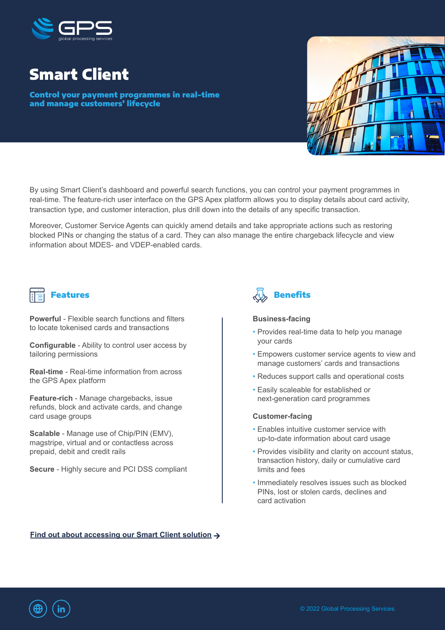

# Smart Client

Control your payment programmes in real-time and manage customers' lifecycle



By using Smart Client's dashboard and powerful search functions, you can control your payment programmes in real-time. The feature-rich user interface on the GPS Apex platform allows you to display details about card activity, transaction type, and customer interaction, plus drill down into the details of any specific transaction.

Moreover, Customer Service Agents can quickly amend details and take appropriate actions such as restoring blocked PINs or changing the status of a card. They can also manage the entire chargeback lifecycle and view information about MDES- and VDEP-enabled cards.

**Powerful** - Flexible search functions and filters to locate tokenised cards and transactions

**Configurable** - Ability to control user access by tailoring permissions

**Real-time** - Real-time information from across the GPS Apex platform

**Feature-rich** - Manage chargebacks, issue refunds, block and activate cards, and change card usage groups

**Scalable** - Manage use of Chip/PIN (EMV), magstripe, virtual and or contactless across prepaid, debit and credit rails

**Secure** - Highly secure and PCI DSS compliant



#### **Business-facing**

- Provides real-time data to help you manage your cards
- Empowers customer service agents to view and manage customers' cards and transactions
- Reduces support calls and operational costs
- Easily scaleable for established or next-generation card programmes

### **Customer-facing**

- Enables intuitive customer service with up-to-date information about card usage
- Provides visibility and clarity on account status, transaction history, daily or cumulative card limits and fees
- Immediately resolves issues such as blocked PINs, lost or stolen cards, declines and card activation

**[Find out about accessing our Smart Client solution](https://www.globalprocessing.com/contact?utm_campaign=Events%202022%20Product%20Sheets&utm_source=events&utm_medium=product_sheet_smart_client)**